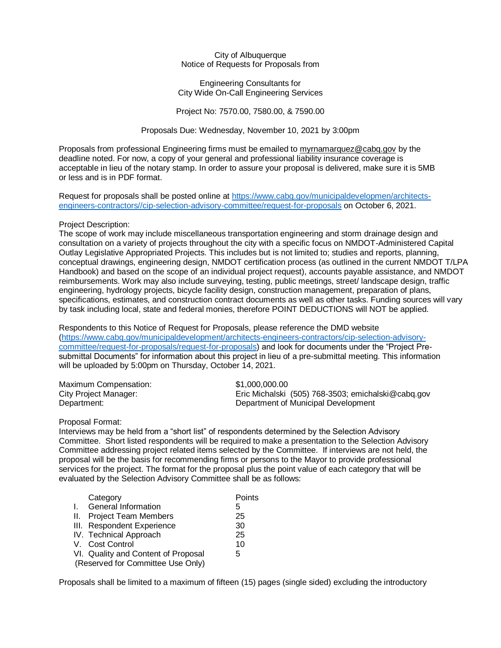City of Albuquerque Notice of Requests for Proposals from

Engineering Consultants for City Wide On-Call Engineering Services

Project No: 7570.00, 7580.00, & 7590.00

Proposals Due: Wednesday, November 10, 2021 by 3:00pm

Proposals from professional Engineering firms must be emailed to [myrnamarquez@cabq.gov](mailto:myrnamarquez@cabq.gov) by the deadline noted. For now, a copy of your general and professional liability insurance coverage is acceptable in lieu of the notary stamp. In order to assure your proposal is delivered, make sure it is 5MB or less and is in PDF format.

Request for proposals shall be posted online at [https://www.cabq.gov/municipaldevelopmen/architects](https://www.cabq.gov/municipaldevelopmen/architects-engineers-contractors/cip-selection-advisory-committee/request-for-proposals)[engineers-contractors//cip-selection-advisory-committee/request-for-proposals](https://www.cabq.gov/municipaldevelopmen/architects-engineers-contractors/cip-selection-advisory-committee/request-for-proposals) on October 6, 2021.

## Project Description:

The scope of work may include miscellaneous transportation engineering and storm drainage design and consultation on a variety of projects throughout the city with a specific focus on NMDOT-Administered Capital Outlay Legislative Appropriated Projects. This includes but is not limited to; studies and reports, planning, conceptual drawings, engineering design, NMDOT certification process (as outlined in the current NMDOT T/LPA Handbook) and based on the scope of an individual project request), accounts payable assistance, and NMDOT reimbursements. Work may also include surveying, testing, public meetings, street/ landscape design, traffic engineering, hydrology projects, bicycle facility design, construction management, preparation of plans, specifications, estimates, and construction contract documents as well as other tasks. Funding sources will vary by task including local, state and federal monies, therefore POINT DEDUCTIONS will NOT be applied.

Respondents to this Notice of Request for Proposals, please reference the DMD website [\(https://www.cabq.gov/municipaldevelopment/architects-engineers-contractors/cip-selection-advisory](https://www.cabq.gov/municipaldevelopment/architects-engineers-contractors/cip-selection-advisory-committee/request-for-proposals/request-for-proposals)[committee/request-for-proposals/request-for-proposals\)](https://www.cabq.gov/municipaldevelopment/architects-engineers-contractors/cip-selection-advisory-committee/request-for-proposals/request-for-proposals) and look for documents under the "Project Presubmittal Documents" for information about this project in lieu of a pre-submittal meeting. This information will be uploaded by 5:00pm on Thursday, October 14, 2021.

| Maximum Compensation: | \$1.000.000.00                                     |
|-----------------------|----------------------------------------------------|
| City Project Manager: | Eric Michalski (505) 768-3503; emichalski@cabq.gov |
| Department:           | Department of Municipal Development                |

## Proposal Format:

Interviews may be held from a "short list" of respondents determined by the Selection Advisory Committee. Short listed respondents will be required to make a presentation to the Selection Advisory Committee addressing project related items selected by the Committee. If interviews are not held, the proposal will be the basis for recommending firms or persons to the Mayor to provide professional services for the project. The format for the proposal plus the point value of each category that will be evaluated by the Selection Advisory Committee shall be as follows:

| Category                                                                 | Points |
|--------------------------------------------------------------------------|--------|
| <b>General Information</b>                                               | 5      |
| II. Project Team Members                                                 | 25     |
| III. Respondent Experience                                               | 30     |
| IV. Technical Approach                                                   | 25     |
| V. Cost Control                                                          | 10     |
| VI. Quality and Content of Proposal<br>(Reserved for Committee Use Only) | 5      |
|                                                                          |        |

Proposals shall be limited to a maximum of fifteen (15) pages (single sided) excluding the introductory